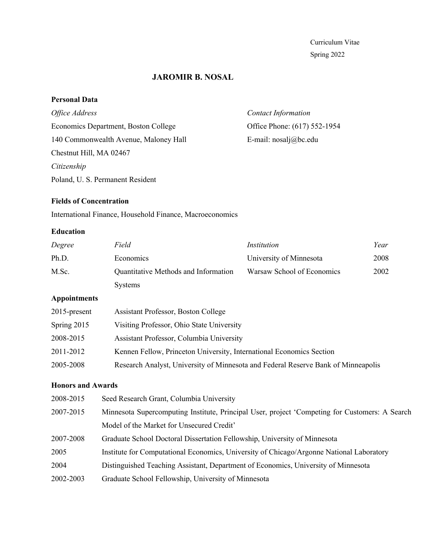Curriculum Vitae Spring 2022

# **JAROMIR B. NOSAL**

## **Personal Data**

| Office Address                        | <b>Contact Information</b>   |
|---------------------------------------|------------------------------|
| Economics Department, Boston College  | Office Phone: (617) 552-1954 |
| 140 Commonwealth Avenue, Maloney Hall | E-mail: $nosalj@bc.edu$      |
| Chestnut Hill, MA 02467               |                              |
| Citizenship                           |                              |
| Poland, U. S. Permanent Resident      |                              |

# **Fields of Concentration**

International Finance, Household Finance, Macroeconomics

## **Education**

| Degree              | Field                                                                             | Institution                | Year |
|---------------------|-----------------------------------------------------------------------------------|----------------------------|------|
| Ph.D.               | Economics                                                                         | University of Minnesota    | 2008 |
| M.Sc.               | Quantitative Methods and Information                                              | Warsaw School of Economics | 2002 |
|                     | <b>Systems</b>                                                                    |                            |      |
| <b>Appointments</b> |                                                                                   |                            |      |
| $2015$ -present     | <b>Assistant Professor, Boston College</b>                                        |                            |      |
| Spring 2015         | Visiting Professor, Ohio State University                                         |                            |      |
| 2008-2015           | Assistant Professor, Columbia University                                          |                            |      |
| 2011-2012           | Kennen Fellow, Princeton University, International Economics Section              |                            |      |
| 2005-2008           | Research Analyst, University of Minnesota and Federal Reserve Bank of Minneapolis |                            |      |

# **Honors and Awards**

| 2008-2015 | Seed Research Grant, Columbia University                                                       |
|-----------|------------------------------------------------------------------------------------------------|
| 2007-2015 | Minnesota Supercomputing Institute, Principal User, project 'Competing for Customers: A Search |
|           | Model of the Market for Unsecured Credit'                                                      |
| 2007-2008 | Graduate School Doctoral Dissertation Fellowship, University of Minnesota                      |
| 2005      | Institute for Computational Economics, University of Chicago/Argonne National Laboratory       |
| 2004      | Distinguished Teaching Assistant, Department of Economics, University of Minnesota             |
| 2002-2003 | Graduate School Fellowship, University of Minnesota                                            |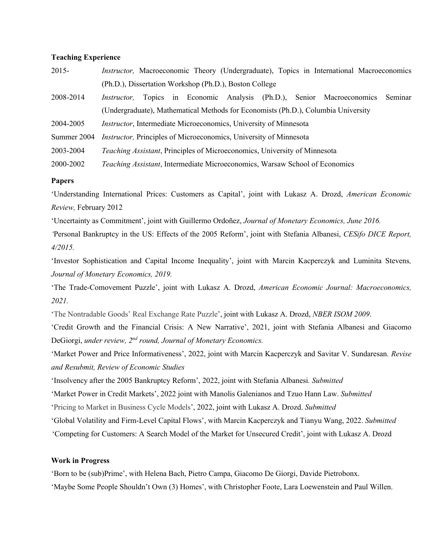### **Teaching Experience**

| $2015 -$    | <i>Instructor</i> , Macroeconomic Theory (Undergraduate), Topics in International Macroeconomics |
|-------------|--------------------------------------------------------------------------------------------------|
|             | (Ph.D.), Dissertation Workshop (Ph.D.), Boston College                                           |
| 2008-2014   | Topics in Economic Analysis (Ph.D.), Senior Macroeconomics<br>Seminar<br><i>Instructor,</i>      |
|             | (Undergraduate), Mathematical Methods for Economists (Ph.D.), Columbia University                |
| 2004-2005   | <i>Instructor</i> , Intermediate Microeconomics, University of Minnesota                         |
| Summer 2004 | <i>Instructor</i> , Principles of Microeconomics, University of Minnesota                        |
| 2003-2004   | <i>Teaching Assistant, Principles of Microeconomics, University of Minnesota</i>                 |
| 2000-2002   | Teaching Assistant, Intermediate Microeconomics, Warsaw School of Economics                      |

### **Papers**

'Understanding International Prices: Customers as Capital', joint with Lukasz A. Drozd, *American Economic Review,* February 2012

'Uncertainty as Commitment', joint with Guillermo Ordoñez, *Journal of Monetary Economics, June 2016. '*Personal Bankruptcy in the US: Effects of the 2005 Reform', joint with Stefania Albanesi, *CESifo DICE Report, 4/2015.*

'Investor Sophistication and Capital Income Inequality', joint with Marcin Kacperczyk and Luminita Stevens*, Journal of Monetary Economics, 2019.*

'The Trade-Comovement Puzzle', joint with Lukasz A. Drozd, *American Economic Journal: Macroeconomics, 2021.*

'The Nontradable Goods' Real Exchange Rate Puzzle', joint with Lukasz A. Drozd, *NBER ISOM 2009*.

'Credit Growth and the Financial Crisis: A New Narrative', 2021, joint with Stefania Albanesi and Giacomo DeGiorgi, *under review, 2nd round, Journal of Monetary Economics.*

'Market Power and Price Informativeness', 2022, joint with Marcin Kacperczyk and Savitar V. Sundaresan*. Revise and Resubmit, Review of Economic Studies*

'Insolvency after the 2005 Bankruptcy Reform', 2022, joint with Stefania Albanesi*. Submitted*

'Market Power in Credit Markets', 2022 joint with Manolis Galenianos and Tzuo Hann Law. *Submitted*

'Pricing to Market in Business Cycle Models', 2022, joint with Lukasz A. Drozd. *Submitted*

'Global Volatility and Firm-Level Capital Flows', with Marcin Kacperczyk and Tianyu Wang, 2022. *Submitted*

'Competing for Customers: A Search Model of the Market for Unsecured Credit', joint with Lukasz A. Drozd

### **Work in Progress**

'Born to be (sub)Prime', with Helena Bach, Pietro Campa, Giacomo De Giorgi, Davide Pietrobonx. 'Maybe Some People Shouldn't Own (3) Homes', with Christopher Foote, Lara Loewenstein and Paul Willen.